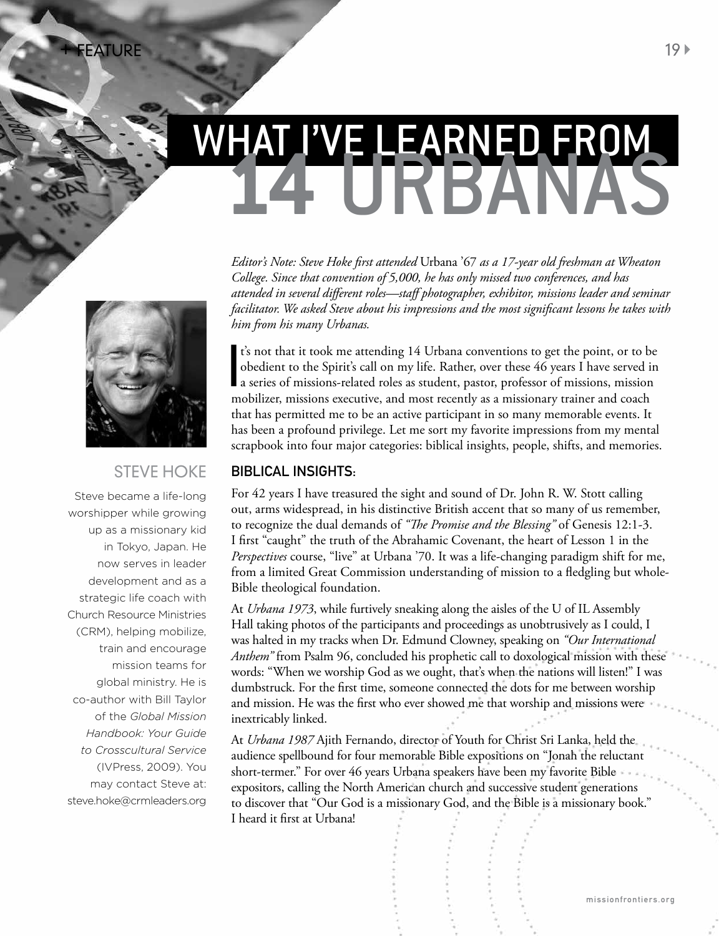# WHAT I'VE LEARNED FROM<br>14 URBANAS

*Editor's Note: Steve Hoke first attended* Urbana '67 *as a 17-year old freshman at Wheaton College. Since that convention of 5,000, he has only missed two conferences, and has attended in several different roles—staff photographer, exhibitor, missions leader and seminar facilitator. We asked Steve about his impressions and the most significant lessons he takes with him from his many Urbanas.* 

t's not that it took me attending 14 Urbana conventions to get the point, or to be<br>obedient to the Spirit's call on my life. Rather, over these 46 years I have served in<br>a series of missions-related roles as student, pasto t's not that it took me attending 14 Urbana conventions to get the point, or to be obedient to the Spirit's call on my life. Rather, over these 46 years I have served in mobilizer, missions executive, and most recently as a missionary trainer and coach that has permitted me to be an active participant in so many memorable events. It has been a profound privilege. Let me sort my favorite impressions from my mental scrapbook into four major categories: biblical insights, people, shifts, and memories.

#### Biblical insights:

For 42 years I have treasured the sight and sound of Dr. John R. W. Stott calling out, arms widespread, in his distinctive British accent that so many of us remember, to recognize the dual demands of *"The Promise and the Blessing"* of Genesis 12:1-3. I first "caught" the truth of the Abrahamic Covenant, the heart of Lesson 1 in the *Perspectives* course, "live" at Urbana '70. It was a life-changing paradigm shift for me, from a limited Great Commission understanding of mission to a fledgling but whole-Bible theological foundation.

At *Urbana 1973*, while furtively sneaking along the aisles of the U of IL Assembly Hall taking photos of the participants and proceedings as unobtrusively as I could, I was halted in my tracks when Dr. Edmund Clowney, speaking on *"Our International Anthem"* from Psalm 96, concluded his prophetic call to doxological mission with these words: "When we worship God as we ought, that's when the nations will listen!" I was dumbstruck. For the first time, someone connected the dots for me between worship and mission. He was the first who ever showed me that worship and missions were inextricably linked.

At *Urbana 1987* Ajith Fernando, director of Youth for Christ Sri Lanka, held the audience spellbound for four memorable Bible expositions on "Jonah the reluctant short-termer." For over 46 years Urbana speakers have been my favorite Bible expositors, calling the North American church and successive student generations to discover that "Our God is a missionary God, and the Bible is a missionary book." I heard it first at Urbana!



# Steve Hoke

Steve became a life-long worshipper while growing up as a missionary kid in Tokyo, Japan. He now serves in leader development and as a strategic life coach with Church Resource Ministries (CRM), helping mobilize, train and encourage mission teams for global ministry. He is co-author with Bill Taylor of the *Global Mission Handbook: Your Guide to Crosscultural Service* (IVPress, 2009). You may contact Steve at: steve.hoke@crmleaders.org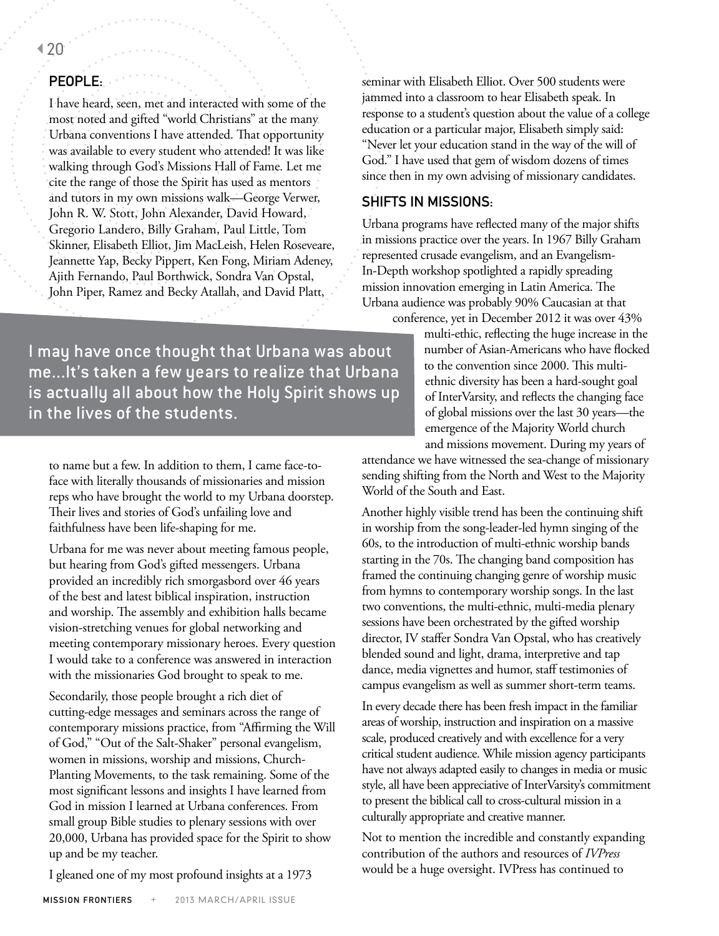### 20

## People:

I have heard, seen, met and interacted with some of the most noted and gifted "world Christians" at the many Urbana conventions I have attended. That opportunity was available to every student who attended! It was like walking through God's Missions Hall of Fame. Let me cite the range of those the Spirit has used as mentors and tutors in my own missions walk—George Verwer, John R. W. Stott, John Alexander, David Howard, Gregorio Landero, Billy Graham, Paul Little, Tom Skinner, Elisabeth Elliot, Jim MacLeish, Helen Roseveare, Jeannette Yap, Becky Pippert, Ken Fong, Miriam Adeney, Ajith Fernando, Paul Borthwick, Sondra Van Opstal, John Piper, Ramez and Becky Atallah, and David Platt,

seminar with Elisabeth Elliot. Over 500 students were jammed into a classroom to hear Elisabeth speak. In response to a student's question about the value of a college education or a particular major, Elisabeth simply said: "Never let your education stand in the way of the will of God." I have used that gem of wisdom dozens of times since then in my own advising of missionary candidates.

#### Shifts in Missions:

Urbana programs have reflected many of the major shifts in missions practice over the years. In 1967 Billy Graham represented crusade evangelism, and an Evangelism-In-Depth workshop spotlighted a rapidly spreading mission innovation emerging in Latin America. The Urbana audience was probably 90% Caucasian at that

conference, yet in December 2012 it was over 43%

multi-ethic, reflecting the huge increase in the number of Asian-Americans who have flocked to the convention since 2000. This multiethnic diversity has been a hard-sought goal of InterVarsity, and reflects the changing face of global missions over the last 30 years—the emergence of the Majority World church and missions movement. During my years of

attendance we have witnessed the sea-change of missionary sending shifting from the North and West to the Majority World of the South and East.

Another highly visible trend has been the continuing shift in worship from the song-leader-led hymn singing of the 60s, to the introduction of multi-ethnic worship bands starting in the 70s. The changing band composition has framed the continuing changing genre of worship music from hymns to contemporary worship songs. In the last two conventions, the multi-ethnic, multi-media plenary sessions have been orchestrated by the gifted worship director, IV staffer Sondra Van Opstal, who has creatively blended sound and light, drama, interpretive and tap dance, media vignettes and humor, staff testimonies of campus evangelism as well as summer short-term teams.

In every decade there has been fresh impact in the familiar areas of worship, instruction and inspiration on a massive scale, produced creatively and with excellence for a very critical student audience. While mission agency participants have not always adapted easily to changes in media or music style, all have been appreciative of InterVarsity's commitment to present the biblical call to cross-cultural mission in a culturally appropriate and creative manner.

Not to mention the incredible and constantly expanding contribution of the authors and resources of *IVPress* would be a huge oversight. IVPress has continued to

I may have once thought that Urbana was about me...It's taken a few years to realize that Urbana is actually all about how the Holy Spirit shows up in the lives of the students.

to name but a few. In addition to them, I came face-toface with literally thousands of missionaries and mission reps who have brought the world to my Urbana doorstep. Their lives and stories of God's unfailing love and faithfulness have been life-shaping for me.

Urbana for me was never about meeting famous people, but hearing from God's gifted messengers. Urbana provided an incredibly rich smorgasbord over 46 years of the best and latest biblical inspiration, instruction and worship. The assembly and exhibition halls became vision-stretching venues for global networking and meeting contemporary missionary heroes. Every question I would take to a conference was answered in interaction with the missionaries God brought to speak to me.

Secondarily, those people brought a rich diet of cutting-edge messages and seminars across the range of contemporary missions practice, from "Affirming the Will of God," "Out of the Salt-Shaker" personal evangelism, women in missions, worship and missions, Church-Planting Movements, to the task remaining. Some of the most significant lessons and insights I have learned from God in mission I learned at Urbana conferences. From small group Bible studies to plenary sessions with over 20,000, Urbana has provided space for the Spirit to show up and be my teacher.

I gleaned one of my most profound insights at a 1973